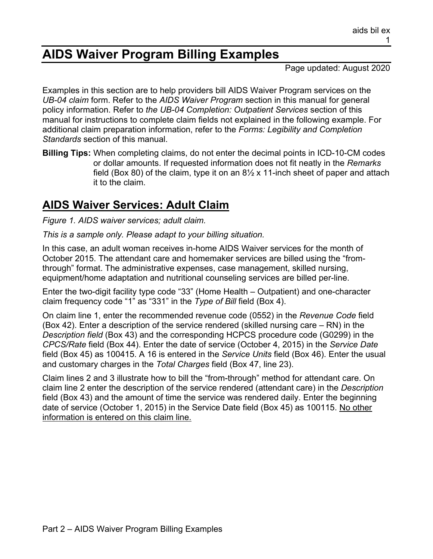# **AIDS Waiver Program Billing Examples**

Page updated: August 2020

Examples in this section are to help providers bill AIDS Waiver Program services on the *UB-04 claim* form. Refer to the *AIDS Waiver Program* section in this manual for general policy information. Refer to *the UB-04 Completion: Outpatient Services* section of this manual for instructions to complete claim fields not explained in the following example. For additional claim preparation information, refer to the *Forms: Legibility and Completion Standards* section of this manual.

**Billing Tips:** When completing claims, do not enter the decimal points in ICD-10-CM codes or dollar amounts. If requested information does not fit neatly in the *Remarks* field (Box 80) of the claim, type it on an  $8\frac{1}{2}$  x 11-inch sheet of paper and attach it to the claim.

## **AIDS Waiver Services: Adult Claim**

*Figure 1. AIDS waiver services; adult claim.*

*This is a sample only. Please adapt to your billing situation.*

In this case, an adult woman receives in-home AIDS Waiver services for the month of October 2015. The attendant care and homemaker services are billed using the "fromthrough" format. The administrative expenses, case management, skilled nursing, equipment/home adaptation and nutritional counseling services are billed per-line.

Enter the two-digit facility type code "33" (Home Health – Outpatient) and one-character claim frequency code "1" as "331" in the *Type of Bill* field (Box 4).

On claim line 1, enter the recommended revenue code (0552) in the *Revenue Code* field (Box 42). Enter a description of the service rendered (skilled nursing care – RN) in the *Description field* (Box 43) and the corresponding HCPCS procedure code (G0299) in the *CPCS/Rate* field (Box 44). Enter the date of service (October 4, 2015) in the *Service Date* field (Box 45) as 100415. A 16 is entered in the *Service Units* field (Box 46). Enter the usual and customary charges in the *Total Charges* field (Box 47, line 23).

Claim lines 2 and 3 illustrate how to bill the "from-through" method for attendant care. On claim line 2 enter the description of the service rendered (attendant care) in the *Description* field (Box 43) and the amount of time the service was rendered daily. Enter the beginning date of service (October 1, 2015) in the Service Date field (Box 45) as 100115. No other information is entered on this claim line.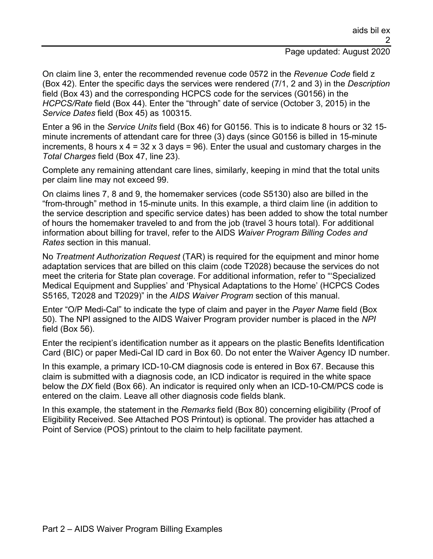#### Page updated: August 2020

On claim line 3, enter the recommended revenue code 0572 in the *Revenue Code* field z (Box 42). Enter the specific days the services were rendered (7/1, 2 and 3) in the *Description*  field (Box 43) and the corresponding HCPCS code for the services (G0156) in the *HCPCS/Rate* field (Box 44). Enter the "through" date of service (October 3, 2015) in the *Service Dates* field (Box 45) as 100315.

Enter a 96 in the *Service Units* field (Box 46) for G0156. This is to indicate 8 hours or 32 15 minute increments of attendant care for three (3) days (since G0156 is billed in 15-minute increments, 8 hours  $x$  4 = 32  $x$  3 days = 96). Enter the usual and customary charges in the *Total Charges* field (Box 47, line 23).

Complete any remaining attendant care lines, similarly, keeping in mind that the total units per claim line may not exceed 99.

On claims lines 7, 8 and 9, the homemaker services (code S5130) also are billed in the "from-through" method in 15-minute units. In this example, a third claim line (in addition to the service description and specific service dates) has been added to show the total number of hours the homemaker traveled to and from the job (travel 3 hours total). For additional information about billing for travel, refer to the AIDS *Waiver Program Billing Codes and Rates* section in this manual.

No *Treatment Authorization Request* (TAR) is required for the equipment and minor home adaptation services that are billed on this claim (code T2028) because the services do not meet the criteria for State plan coverage. For additional information, refer to "'Specialized Medical Equipment and Supplies' and 'Physical Adaptations to the Home' (HCPCS Codes S5165, T2028 and T2029)" in the *AIDS Waiver Program* section of this manual.

Enter "O/P Medi-Cal" to indicate the type of claim and payer in the *Payer Nam*e field (Box 50). The NPI assigned to the AIDS Waiver Program provider number is placed in the *NPI* field (Box 56).

Enter the recipient's identification number as it appears on the plastic Benefits Identification Card (BIC) or paper Medi-Cal ID card in Box 60. Do not enter the Waiver Agency ID number.

In this example, a primary ICD-10-CM diagnosis code is entered in Box 67. Because this claim is submitted with a diagnosis code, an ICD indicator is required in the white space below the *DX* field (Box 66). An indicator is required only when an ICD-10-CM/PCS code is entered on the claim. Leave all other diagnosis code fields blank.

In this example, the statement in the *Remarks* field (Box 80) concerning eligibility (Proof of Eligibility Received. See Attached POS Printout) is optional. The provider has attached a Point of Service (POS) printout to the claim to help facilitate payment.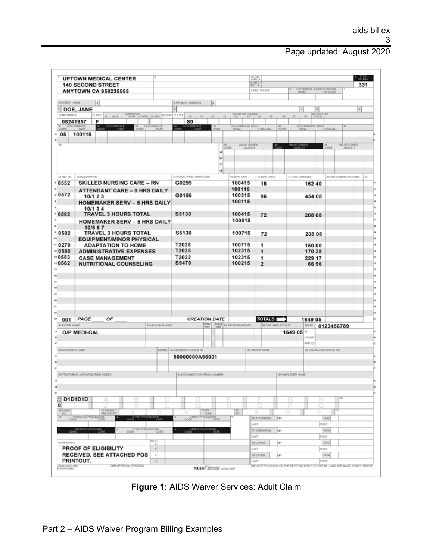### Page updated: August 2020

|                                           | <b>140 SECOND STREET</b><br><b>ANYTOWN CA 958235555</b>                              |                                      |                                       |                       | <b>D.MED.</b><br>REG.#                | <b>SI PAT</b><br>CAITL #<br>5 FED. TAX NO. |                                | <b>STATEMENT COVERS PERIOD</b>                  | 331                          |
|-------------------------------------------|--------------------------------------------------------------------------------------|--------------------------------------|---------------------------------------|-----------------------|---------------------------------------|--------------------------------------------|--------------------------------|-------------------------------------------------|------------------------------|
|                                           |                                                                                      |                                      |                                       |                       |                                       |                                            | <b>FROM</b>                    | THROUGH                                         |                              |
| 8 PATIENT NAME                            | a)                                                                                   |                                      | 9 PATIENT ADDRESS                     |                       |                                       |                                            |                                | <b>a</b>                                        |                              |
| 10 BIRTHDATE                              | <b>DOE, JANE</b><br>11 SEX 12 DATE                                                   | ADMISSION THRE IS SAC 16 DHR 17 STAT | 18<br>19                              | 20<br>21              | concretors <sub>as</sub>              | 26                                         | 27<br>28                       | $\left[\frac{29}{5 M \cdot \text{R}}\right]$ 30 | $\left  \cdot \right $       |
|                                           | 08241957<br>F                                                                        |                                      | 80                                    |                       |                                       |                                            |                                |                                                 |                              |
| $rac{31}{6000}$                           | <b>OCCURRENCE</b><br>OCCURRENCE<br>$33 -$<br>$rac{30}{6000}$<br>DATE<br>cooe<br>DATE | <b>OCCURRENCE</b><br>DATI            | <b>CURRENCE</b><br>м<br>соое<br>DaTE  | cope                  | <b>OCCURRENCE SPAN</b><br><b>FROM</b> | $rac{30}{0000}$<br>THROUGH                 | OCCURRENCE SPAN<br><b>FROM</b> | THROUGH                                         |                              |
| 05                                        | 100115                                                                               |                                      |                                       |                       |                                       |                                            |                                |                                                 |                              |
|                                           |                                                                                      |                                      |                                       | 39<br>CODE            | <b>VALUE CODES</b><br><b>AMOUNT</b>   | $\frac{40}{0000}$                          | <b>VALUE CODES</b>             | $rac{41}{00000}$                                | <b>WLUE CODES</b><br>AMOUNT  |
|                                           |                                                                                      |                                      |                                       | a<br>$\triangleright$ |                                       |                                            |                                |                                                 |                              |
|                                           |                                                                                      |                                      |                                       | lc)                   |                                       |                                            |                                |                                                 |                              |
|                                           |                                                                                      |                                      |                                       | d                     |                                       |                                            |                                |                                                 |                              |
| 42 PEV. 00.<br>0552                       | 43 DESORIPTION<br><b>SKILLED NURSING CARE - RN</b>                                   |                                      | 44 HOPOS / RATE / HIPPS CODE<br>G0299 |                       | 45 SERV. DATE<br>100415               | 46 SERV. UNITS                             | 47 TOTAL CHARGES               |                                                 | 48 NON-COVERED CHARGES<br>49 |
|                                           | <b>ATTENDANT CARE - 8 HRS DAILY</b>                                                  |                                      |                                       |                       | 100115                                | 16                                         | 162 40                         |                                                 |                              |
| .0572                                     | 10/1 2 3                                                                             |                                      | G0156                                 |                       | 100315                                | 96                                         | 454 08                         |                                                 |                              |
|                                           | <b>HOMEMAKER SERV - 5 HRS DAILY</b>                                                  |                                      |                                       |                       | 100115                                |                                            |                                |                                                 |                              |
| 0582                                      | 10/1 3 4<br><b>TRAVEL 3 HOURS TOTAL</b>                                              |                                      | S5130                                 |                       | 100415                                | 72                                         | 208 08                         |                                                 |                              |
|                                           | <b>HOMEMAKER SERV - 5 HRS DAILY</b>                                                  |                                      |                                       |                       | 100515                                |                                            |                                |                                                 |                              |
|                                           | 10/5 6 7                                                                             |                                      |                                       |                       |                                       |                                            |                                |                                                 |                              |
| 0582                                      | <b>TRAVEL 3 HOURS TOTAL</b><br><b>EQUIPMENT/MINOR PHYSICAL</b>                       |                                      | S5130                                 |                       | 100715                                | 72                                         | 208 08                         |                                                 |                              |
| 0270                                      | <b>ADAPTATION TO HOME</b>                                                            |                                      | T2028                                 |                       | 100715                                | 1                                          | 150 00                         |                                                 |                              |
| $= 0580$                                  | <b>ADMINISTRATIVE EXPENSES</b><br><b>CASE MANAGEMENT</b>                             |                                      | T2025<br>T2022                        |                       | 102315                                | 1                                          | 170 28                         |                                                 |                              |
|                                           |                                                                                      |                                      |                                       |                       | 102315                                | 1                                          |                                |                                                 |                              |
| 0583                                      |                                                                                      |                                      |                                       |                       |                                       |                                            | 229 17                         |                                                 |                              |
|                                           | <b>NUTRITIONAL COUNSELING</b>                                                        |                                      | S9470                                 |                       | 100215                                | $\overline{2}$                             |                                | 66 96                                           |                              |
|                                           |                                                                                      |                                      |                                       |                       |                                       |                                            |                                |                                                 |                              |
|                                           |                                                                                      |                                      |                                       |                       |                                       |                                            |                                |                                                 |                              |
| 0562                                      |                                                                                      |                                      |                                       |                       |                                       |                                            |                                |                                                 |                              |
|                                           |                                                                                      |                                      |                                       |                       |                                       |                                            |                                |                                                 |                              |
|                                           |                                                                                      |                                      |                                       |                       |                                       |                                            |                                |                                                 |                              |
|                                           | ОF<br>PAGE                                                                           |                                      |                                       | <b>CREATION DATE</b>  |                                       | <b>TOTALS</b>                              |                                |                                                 |                              |
|                                           |                                                                                      | 51 HEALTH PLAN ID                    |                                       |                       | R REL BLADS SA PRIOR PAYMENTS         | 55 EST. AMOUNT DUE                         | 1649 05<br>56 NP1              | 0123456789                                      |                              |
|                                           | O/P MEDI-CAL                                                                         |                                      |                                       |                       |                                       |                                            | 1649 05 ≅                      |                                                 |                              |
|                                           |                                                                                      |                                      |                                       |                       |                                       |                                            | OTHER<br>PRV ID                |                                                 |                              |
|                                           |                                                                                      |                                      | SPPREL 60 INSURED'S UNIQUE ID         |                       |                                       | <b>61 GROUP NAME</b>                       |                                | 62 INSURANCE GROUP NO.                          |                              |
|                                           |                                                                                      |                                      | 90000000A95001                        |                       |                                       |                                            |                                |                                                 |                              |
|                                           |                                                                                      |                                      |                                       |                       |                                       |                                            |                                |                                                 |                              |
|                                           | 63 TREATMENT AUTHORIZATION CODES                                                     |                                      | 64 DOCUMENT CONTROL NUMBER            |                       |                                       |                                            | 65 EMPLOYER NAME               |                                                 |                              |
| 001<br>50 PAYER NAME<br>58 INSURED'S NAME |                                                                                      |                                      |                                       |                       |                                       |                                            |                                |                                                 |                              |
|                                           |                                                                                      |                                      |                                       |                       |                                       |                                            |                                |                                                 |                              |
|                                           | D1D1D1D                                                                              |                                      |                                       |                       |                                       |                                            |                                |                                                 | 68                           |
|                                           |                                                                                      |                                      |                                       |                       |                                       |                                            | ⋼                              |                                                 |                              |
|                                           | <b>70 PATIENT</b><br><b>REASON DX</b>                                                |                                      |                                       | 71995<br>cope         | $\frac{72}{60}$                       | я                                          |                                | ê                                               |                              |
|                                           | PRINCIPAL PROCEDURE<br>CODE THER PROCEDURE                                           |                                      | CODE PROCEDURE                        |                       | LAST                                  | <b>76 ATTENDING</b><br>bes                 |                                | OUNL<br>FIRST                                   |                              |
|                                           | CODE PROGEDURE<br>CODE THER PROCEDURE                                                |                                      | OTHER PROCEDURE                       |                       |                                       | 77 OPERATING<br>hei                        |                                | <b>OUNL</b>                                     |                              |
|                                           |                                                                                      |                                      |                                       |                       | LAST                                  |                                            |                                | FIRST                                           |                              |
|                                           | <b>PROOF OF ELIGIBILITY</b>                                                          | HCC<br>$\,$ a<br>$\mathbf{D}$        |                                       |                       | LAST                                  | 78 OTHER<br>hFl                            |                                | <b>OUNL</b><br>FIRST                            |                              |
| 69 ADMT<br>$rac{6x}{74}$<br>60 PEMARKS    | <b>RECEIVED. SEE ATTACHED POS</b>                                                    | $\dot{\alpha}$                       |                                       |                       |                                       | 79 OTHER<br>han                            |                                | <b>OUAL</b>                                     |                              |

**Figure 1:** AIDS Waiver Services: Adult Claim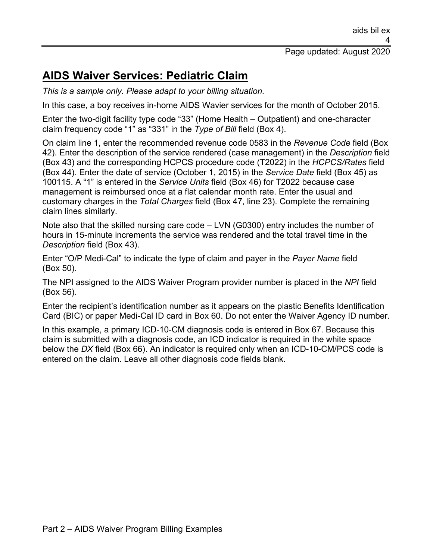## **AIDS Waiver Services: Pediatric Claim**

*This is a sample only. Please adapt to your billing situation.*

In this case, a boy receives in-home AIDS Wavier services for the month of October 2015.

Enter the two-digit facility type code "33" (Home Health – Outpatient) and one-character claim frequency code "1" as "331" in the *Type of Bill* field (Box 4).

On claim line 1, enter the recommended revenue code 0583 in the *Revenue Code* field (Box 42). Enter the description of the service rendered (case management) in the *Description* field (Box 43) and the corresponding HCPCS procedure code (T2022) in the *HCPCS/Rates* field (Box 44). Enter the date of service (October 1, 2015) in the *Service Date* field (Box 45) as 100115. A "1" is entered in the *Service Units* field (Box 46) for T2022 because case management is reimbursed once at a flat calendar month rate. Enter the usual and customary charges in the *Total Charges* field (Box 47, line 23). Complete the remaining claim lines similarly.

Note also that the skilled nursing care code – LVN (G0300) entry includes the number of hours in 15-minute increments the service was rendered and the total travel time in the *Description* field (Box 43).

Enter "O/P Medi-Cal" to indicate the type of claim and payer in the *Payer Name* field (Box 50).

The NPI assigned to the AIDS Waiver Program provider number is placed in the *NPI* field (Box 56).

Enter the recipient's identification number as it appears on the plastic Benefits Identification Card (BIC) or paper Medi-Cal ID card in Box 60. Do not enter the Waiver Agency ID number.

In this example, a primary ICD-10-CM diagnosis code is entered in Box 67. Because this claim is submitted with a diagnosis code, an ICD indicator is required in the white space below the *DX* field (Box 66). An indicator is required only when an ICD-10-CM/PCS code is entered on the claim. Leave all other diagnosis code fields blank.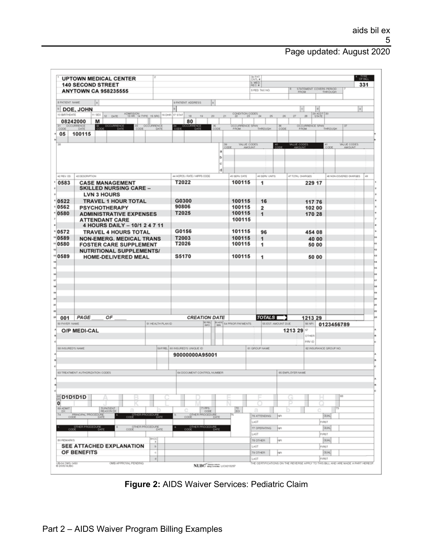### Page updated: August 2020

|                                           | <b>UPTOWN MEDICAL CENTER</b><br><b>140 SECOND STREET</b>         |                                      |                                    |                                       | 3x PAT<br>$b$ , MED             |                                       |                                           | 331                       |
|-------------------------------------------|------------------------------------------------------------------|--------------------------------------|------------------------------------|---------------------------------------|---------------------------------|---------------------------------------|-------------------------------------------|---------------------------|
|                                           | <b>ANYTOWN CA 958235555</b>                                      |                                      |                                    |                                       | 6 FED TAX NO.                   | <b>FROM</b>                           | <b>STATEMENT COVERS PERIOD</b><br>THROUGH |                           |
| <b>B PATIENT NAME</b>                     | $\vert x \vert$                                                  |                                      | 9 PATIENT ADDRESS<br>la            |                                       |                                 |                                       |                                           |                           |
|                                           | <b>DOE, JOHN</b>                                                 |                                      |                                    |                                       |                                 |                                       | d                                         | $\vert \bullet \vert$     |
| 10 BIRTHOATE<br>08242000                  | 11 SEX 12 DATE<br>м                                              | ADMISSION TYPE IS SRO 16 DHR 17 STAT | 18<br>39<br>20<br>80               | concretor codes<br>21                 | 25<br>26                        | 27<br>20                              | 29 ACOT 30                                |                           |
| <b>OCCURRENCE</b><br>cope.                | <b>OCCURRENCE</b><br>$\frac{\pi}{6000}$<br>DATE.<br>cope         | <b>OCCURRENCE</b><br>DATE            | $\frac{36}{0000}$<br>н<br>соот     | <b>OCCURRENCE SPAN</b><br><b>FROM</b> | $rac{36}{6000}$<br>THROUGH.     | <b>OCCURRENCE SPAN</b><br><b>FROM</b> | THROUGH                                   |                           |
| 05                                        | 100115                                                           |                                      |                                    |                                       |                                 |                                       |                                           |                           |
|                                           |                                                                  |                                      |                                    | <b><i>VALUE CODES</i></b>             | 49<br>000E                      | VALUE CODES                           |                                           | <b><i>VALUE CODES</i></b> |
|                                           |                                                                  |                                      |                                    | CODE<br>AMOUNT.<br>a                  |                                 |                                       | cope                                      | AMOUNT.                   |
|                                           |                                                                  |                                      |                                    | b<br>lo.                              |                                 |                                       |                                           |                           |
|                                           |                                                                  |                                      |                                    | d                                     |                                 |                                       |                                           |                           |
| 42 REV. CO.                               | 43 DESORIPTION                                                   |                                      | 44 HOPOS / RATE / HIPPS CODE       | 45 SEPN: DATE                         | 46 SERV. UNITS                  | 47 TODU, CHARGES                      | 48 NON-COVERED OHANGES                    | 43                        |
| 0583                                      | <b>CASE MANAGEMENT</b><br><b>SKILLED NURSING CARE -</b>          |                                      | T2022                              | 100115                                | 1                               | 229 17                                |                                           |                           |
|                                           | <b>LVN 3 HOURS</b>                                               |                                      |                                    |                                       |                                 |                                       |                                           |                           |
| 0522                                      | <b>TRAVEL 1 HOUR TOTAL</b>                                       |                                      | G0300                              | 100115                                | 16                              | 117 76                                |                                           |                           |
| 0562<br>0580                              | <b>PSYCHOTHERAPY</b>                                             |                                      | 90806<br>T2025                     | 100115<br>100115                      | 2                               | 102 00                                |                                           |                           |
|                                           | <b>ADMINISTRATIVE EXPENSES</b><br><b>ATTENDANT CARE</b>          |                                      |                                    | 100115                                | $\mathbf{1}$                    | 170 28                                |                                           |                           |
|                                           | 4 HOURS DAILY - 10/1 2 4 7 11                                    |                                      |                                    |                                       |                                 |                                       |                                           |                           |
| 0572                                      | <b>TRAVEL 4 HOURS TOTAL</b>                                      |                                      | G0156                              | 101115                                | 96                              | 454 08                                |                                           |                           |
| $^{\circ}0589$<br>"0580                   | <b>NON-EMERG. MEDICAL TRANS</b><br><b>FOSTER CARE SUPPLEMENT</b> |                                      | T2003<br>T2026                     | 100115<br>100115                      | 1<br>1                          | 40 00<br>50 00                        |                                           |                           |
|                                           | <b>NUTRITIONAL SUPPLEMENTS/</b>                                  |                                      |                                    |                                       |                                 |                                       |                                           |                           |
| "0589                                     | HOME-DELIVERED MEAL                                              |                                      | S5170                              | 100115                                | 1                               | 50 00                                 |                                           |                           |
|                                           |                                                                  |                                      |                                    |                                       |                                 |                                       |                                           |                           |
|                                           |                                                                  |                                      |                                    |                                       |                                 |                                       |                                           |                           |
|                                           |                                                                  |                                      |                                    |                                       |                                 |                                       |                                           |                           |
|                                           |                                                                  |                                      |                                    |                                       |                                 |                                       |                                           |                           |
|                                           |                                                                  |                                      |                                    |                                       |                                 |                                       |                                           |                           |
|                                           |                                                                  |                                      |                                    |                                       |                                 |                                       |                                           |                           |
|                                           |                                                                  |                                      |                                    |                                       |                                 |                                       |                                           |                           |
|                                           | ОF<br>PAGE                                                       |                                      | <b>CREATION DATE</b>               |                                       | <b>TOTALS</b>                   | 1213 29                               |                                           |                           |
|                                           |                                                                  | 51 HEALTH PLAN ID                    | <b>DO RD</b><br><b>INFO</b><br>804 | <b>SIATA</b> SA PRIOR PAYMENTS        | <b>SS EST. AMOUNT DUE</b>       | 56 NP1                                | 0123456789                                |                           |
|                                           | O/P MEDI-CAL                                                     |                                      |                                    |                                       |                                 | 1213 29<br>97                         |                                           |                           |
|                                           |                                                                  |                                      |                                    |                                       |                                 | OTHER<br>PRV ID                       |                                           |                           |
|                                           |                                                                  |                                      | SAFIRE, 60 INSURED'S UNIQUE ID     |                                       | <b><i>ET GROUP NAME</i></b>     |                                       | 62 INSURANCE GROUP NO.                    |                           |
|                                           |                                                                  |                                      | 90000000A95001                     |                                       |                                 |                                       |                                           |                           |
|                                           |                                                                  |                                      |                                    |                                       |                                 |                                       |                                           |                           |
|                                           | 63 TREATMENT AUTHORIZATION CODES                                 |                                      | 64 DOCUMENT CONTROL NUMBER         |                                       |                                 | 65 EMPLOYER NAME                      |                                           |                           |
| 001<br>50 PAYER NAME<br>58 INSURED'S NAME |                                                                  |                                      |                                    |                                       |                                 |                                       |                                           |                           |
|                                           |                                                                  |                                      |                                    |                                       |                                 |                                       | 68                                        |                           |
|                                           |                                                                  |                                      |                                    |                                       |                                 | υ                                     |                                           |                           |
|                                           | <b>70 PATIENT</b><br>REASON DX                                   |                                      | 71705<br>cope.                     | $\frac{72}{60}$                       | а                               |                                       | c                                         |                           |
| D1D1D1D<br>69 ADM/T<br>DX.                | PRINCIPAL PROCEDURE<br>ငတ်                                       | <b>SRIPROCEDURE</b>                  | COOL COMER PROCEDURE               |                                       | 76 ATTENDING<br>þы              |                                       | OUAL                                      |                           |
|                                           |                                                                  |                                      | OTHER PROCEDURE                    |                                       | LAST<br>77 OPERATING<br>lм      |                                       | FIRST<br>OUAL                             |                           |
|                                           | CODE R PROCEDURE<br>OTHER PROCEDURE                              |                                      |                                    |                                       | LAST                            |                                       | FIRST                                     |                           |
| BO REMARKS                                |                                                                  | $rac{8100}{8}$                       |                                    |                                       | 78 OTHER<br>hei                 |                                       | OUAL                                      |                           |
|                                           | <b>SEE ATTACHED EXPLANATION</b><br>OF BENEFITS                   | $_{\rm b}$<br>$\lhd$                 |                                    |                                       | LAST<br><b>79 OTHER</b><br>jupy |                                       | FIRST<br>OUK.                             |                           |

**Figure 2:** AIDS Waiver Services: Pediatric Claim